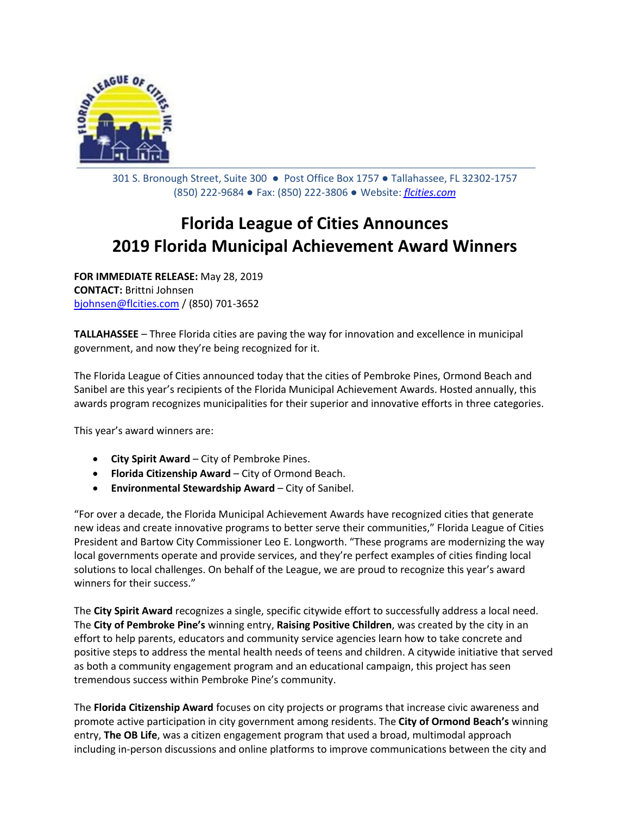

301 S. Bronough Street, Suite 300 ● Post Office Box 1757 ● Tallahassee, FL 32302-1757 (850) 222-9684 ● Fax: (850) 222-3806 ● Website: *[flcities.com](http://www.flcities.com/)*

## **Florida League of Cities Announces 2019 Florida Municipal Achievement Award Winners**

**FOR IMMEDIATE RELEASE:** May 28, 2019 **CONTACT:** Brittni Johnsen [bjohnsen@flcities.com](mailto:bjohnsen@flcities.com) / (850) 701-3652

**TALLAHASSEE** – Three Florida cities are paving the way for innovation and excellence in municipal government, and now they're being recognized for it.

The Florida League of Cities announced today that the cities of Pembroke Pines, Ormond Beach and Sanibel are this year's recipients of the Florida Municipal Achievement Awards. Hosted annually, this awards program recognizes municipalities for their superior and innovative efforts in three categories.

This year's award winners are:

- **City Spirit Award**  City of Pembroke Pines.
- **Florida Citizenship Award**  City of Ormond Beach.
- **Environmental Stewardship Award**  City of Sanibel.

"For over a decade, the Florida Municipal Achievement Awards have recognized cities that generate new ideas and create innovative programs to better serve their communities," Florida League of Cities President and Bartow City Commissioner Leo E. Longworth. "These programs are modernizing the way local governments operate and provide services, and they're perfect examples of cities finding local solutions to local challenges. On behalf of the League, we are proud to recognize this year's award winners for their success."

The **City Spirit Award** recognizes a single, specific citywide effort to successfully address a local need. The **City of Pembroke Pine's** winning entry, **Raising Positive Children**, was created by the city in an effort to help parents, educators and community service agencies learn how to take concrete and positive steps to address the mental health needs of teens and children. A citywide initiative that served as both a community engagement program and an educational campaign, this project has seen tremendous success within Pembroke Pine's community.

The **Florida Citizenship Award** focuses on city projects or programs that increase civic awareness and promote active participation in city government among residents. The **City of Ormond Beach's** winning entry, **The OB Life**, was a citizen engagement program that used a broad, multimodal approach including in-person discussions and online platforms to improve communications between the city and